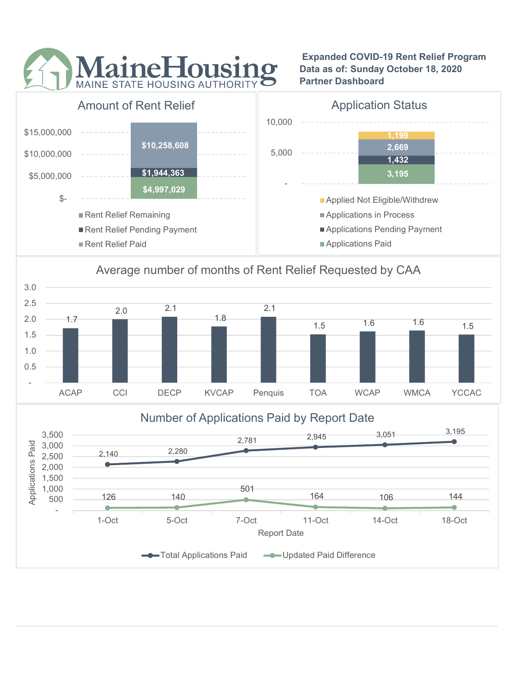

 Expanded COVID-19 Rent Relief Program Data as of: Sunday October 18, 2020 Partner Dashboard



## Average number of months of Rent Relief Requested by CAA